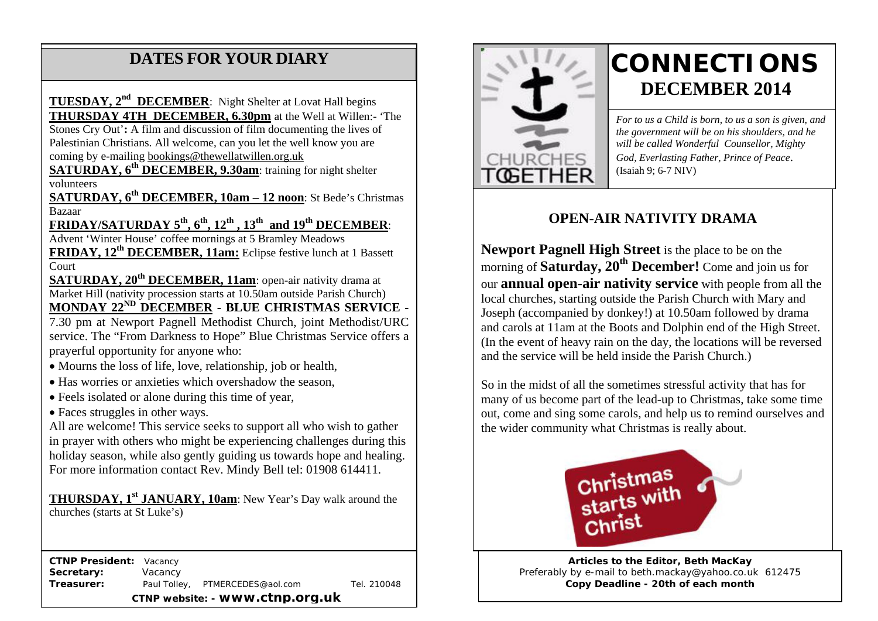### **DATES FOR YOUR DIARY**

coming by e-mailing <u>bookings@thewellatwillen.org.uk</u> Stones Cry Out'**:** A film and discussion of film documenting the lives of Palestinian Christians. All welcome, can you let the well know you are **TUESDAY, 2nd DECEMBER**: Night Shelter at Lovat Hall begins **THURSDAY 4TH DECEMBER, 6.30pm** at the Well at Willen:- 'The

**SATURDAY, 6<sup>th</sup> DECEMBER, 9.30am: training for night shelter** volunteers

**SATURDAY, 6th DECEMBER, 10am – 12 noon**: St Bede's Christmas Bazaar

**FRIDAY/SATURDAY 5th, 6th, 12th , 13th and 19th DECEMBER**:

Advent 'Winter House' coffee mornings at 5 Bramley Meadows **FRIDAY, 12th DECEMBER, 11am:** Eclipse festive lunch at 1 Bassett Court

**SATURDAY, 20<sup>th</sup> DECEMBER, 11am**: open-air nativity drama at Market Hill (nativity procession starts at 10.50am outside Parish Church) **MONDAY 22ND DECEMBER - BLUE CHRISTMAS SERVICE -**

7.30 pm at Newport Pagnell Methodist Church, joint Methodist/URC service. The "From Darkness to Hope" Blue Christmas Service offers a prayerful opportunity for anyone who:

- Mourns the loss of life, love, relationship, job or health,
- Has worries or anxieties which overshadow the season,
- Feels isolated or alone during this time of year,
- Faces struggles in other ways.

All are welcome! This service seeks to support all who wish to gather in prayer with others who might be experiencing challenges during this holiday season, while also gently guiding us towards hope and healing. For more information contact Rev. Mindy Bell tel: 01908 614411.

**THURSDAY, 1<sup>st</sup> JANUARY, 10am**: New Year's Day walk around the churches (starts at St Luke's)

 **CTNP President:** Vacancy **Secretary:** Vacancy **Treasurer:** Paul Tolley, PTMERCEDES@aol.com Tel. 210048 **CTNP website: - www.ctnp.org.uk**



# **CONNECTIONS DECEMBER 2014**

*For to us a Child is born, to us a son is given, and the government will be on his shoulders, and he will be called Wonderful Counsellor, Mighty God, Everlasting Father, Prince of Peace*. (Isaiah 9; 6-7 NIV)

#### **OPEN-AIR NATIVITY DRAMA**

**Newport Pagnell High Street** is the place to be on the morning of **Saturday, 20th December!** Come and join us for our **annual open-air nativity service** with people from all the local churches, starting outside the Parish Church with Mary and Joseph (accompanied by donkey!) at 10.50am followed by drama and carols at 11am at the Boots and Dolphin end of the High Street. (In the event of heavy rain on the day, the locations will be reversed and the service will be held inside the Parish Church.)

So in the midst of all the sometimes stressful activity that has for many of us become part of the lead-up to Christmas, take some time out, come and sing some carols, and help us to remind ourselves and the wider community what Christmas is really about.



**Articles to the Editor, Beth MacKay** Preferably by e-mail to beth.mackay@yahoo.co.uk 612475 **Copy Deadline - 20th of each month**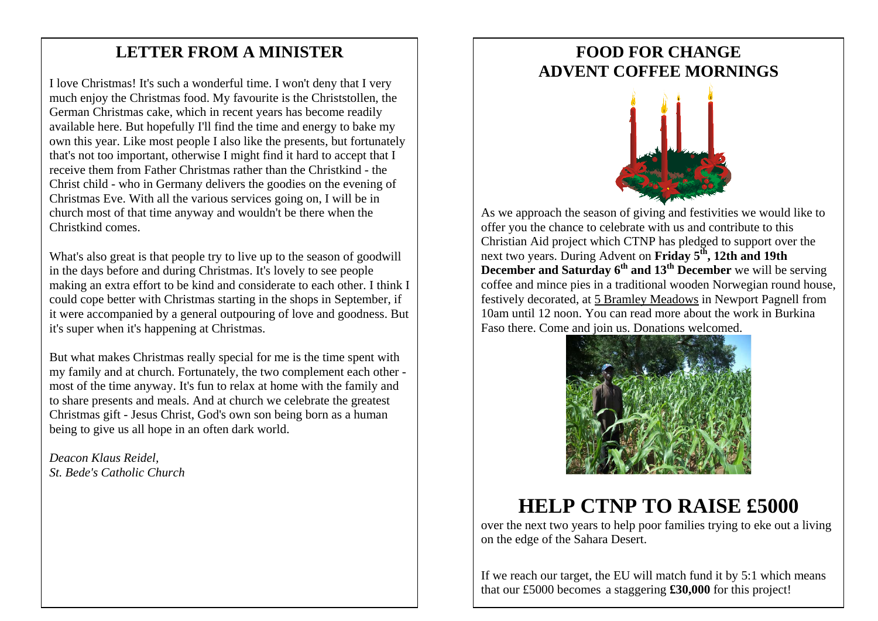#### mee **LETTER FROM A MINISTER**

I love Christmas! It's such a wonderful time. I won't deny that I very much enjoy the Christmas food. My favourite is the Christstollen, the German Christmas cake, which in recent years has become readily available here. But hopefully I'll find the time and energy to bake my own this year. Like most people I also like the presents, but fortunately that's not too important, otherwise I might find it hard to accept that I receive them from Father Christmas rather than the Christkind - the Christ child - who in Germany delivers the goodies on the evening of Christmas Eve. With all the various services going on, I will be in church most of that time anyway and wouldn't be there when the Christkind comes.

What's also great is that people try to live up to the season of goodwill in the days before and during Christmas. It's lovely to see people making an extra effort to be kind and considerate to each other. I think I could cope better with Christmas starting in the shops in September, if it were accompanied by a general outpouring of love and goodness. But it's super when it's happening at Christmas.

But what makes Christmas really special for me is the time spent with my family and at church. Fortunately, the two complement each other most of the time anyway. It's fun to relax at home with the family and to share presents and meals. And at church we celebrate the greatest Christmas gift - Jesus Christ, God's own son being born as a human being to give us all hope in an often dark world.

*Deacon Klaus Reidel, St. Bede's Catholic Church*

#### **FOOD FOR CHANGE ADVENT COFFEE MORNINGS**



As we approach the season of giving and festivities we would like to offer you the chance to celebrate with us and contribute to this Christian Aid project which CTNP has pledged to support over the next two years. During Advent on **Friday 5th, 12th and 19th December and Saturday 6<sup>th</sup> and 13<sup>th</sup> December** we will be serving coffee and mince pies in a traditional wooden Norwegian round house, festively decorated, at 5 Bramley Meadows in Newport Pagnell from 10am until 12 noon. You can read more about the work in Burkina Faso there. Come and join us. Donations welcomed.



## **HELP CTNP TO RAISE £5000**

over the next two years to help poor families trying to eke out a living on the edge of the Sahara Desert.

If we reach our target, the EU will match fund it by 5:1 which means that our £5000 becomes a staggering **£30,000** for this project!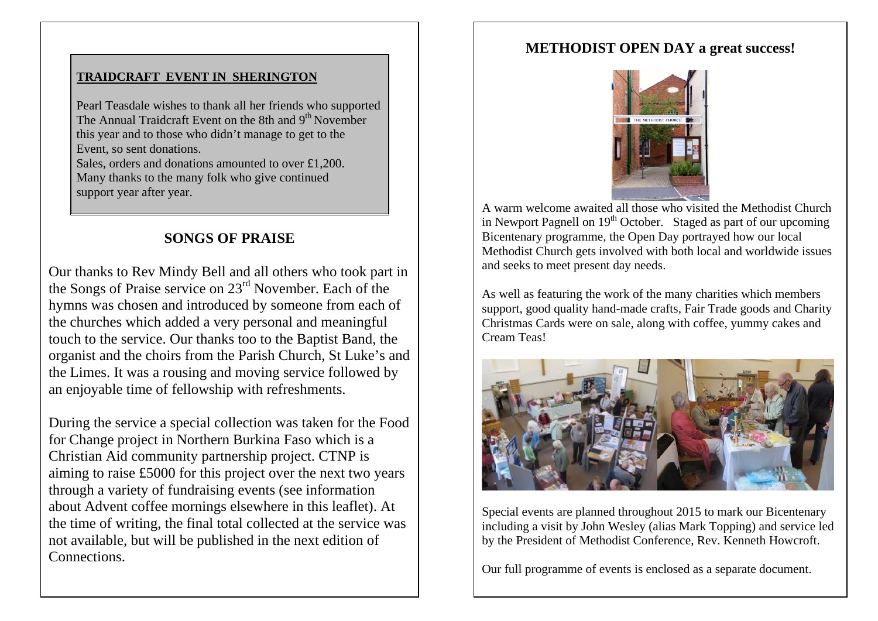#### **TRAIDCRAFT EVENT IN SHERINGTON**

Pearl Teasdale wishes to thank all her friends who supported The Annual Traidcraft Event on the 8th and 9<sup>th</sup> November this year and to those who didn't manage to get to the Event, so sent donations. Sales, orders and donations amounted to over £1,200. Many thanks to the many folk who give continued

support year after year.

#### **SONGS OF PRAISE**

Our thanks to Rev Mindy Bell and all others who took part in the Songs of Praise service on 23rd November. Each of the hymns was chosen and introduced by someone from each of the churches which added a very personal and meaningful touch to the service. Our thanks too to the Baptist Band, the organist and the choirs from the Parish Church, St Luke's and the Limes. It was a rousing and moving service followed by an enjoyable time of fellowship with refreshments.

During the service a special collection was taken for the Food for Change project in Northern Burkina Faso which is a Christian Aid community partnership project. CTNP is aiming to raise £5000 for this project over the next two years through a variety of fundraising events (see information about Advent coffee mornings elsewhere in this leaflet). At the time of writing, the final total collected at the service was not available, but will be published in the next edition of **Connections** 

#### **METHODIST OPEN DAY a great success!**



A warm welcome awaited all those who visited the Methodist Church in Newport Pagnell on  $19<sup>th</sup>$  October. Staged as part of our upcoming Bicentenary programme, the Open Day portrayed how our local Methodist Church gets involved with both local and worldwide issues and seeks to meet present day needs.

As well as featuring the work of the many charities which members support, good quality hand-made crafts, Fair Trade goods and Charity Christmas Cards were on sale, along with coffee, yummy cakes and Cream Teas!



Special events are planned throughout 2015 to mark our Bicentenary including a visit by John Wesley (alias Mark Topping) and service led by the President of Methodist Conference, Rev. Kenneth Howcroft.

Our full programme of events is enclosed as a separate document.